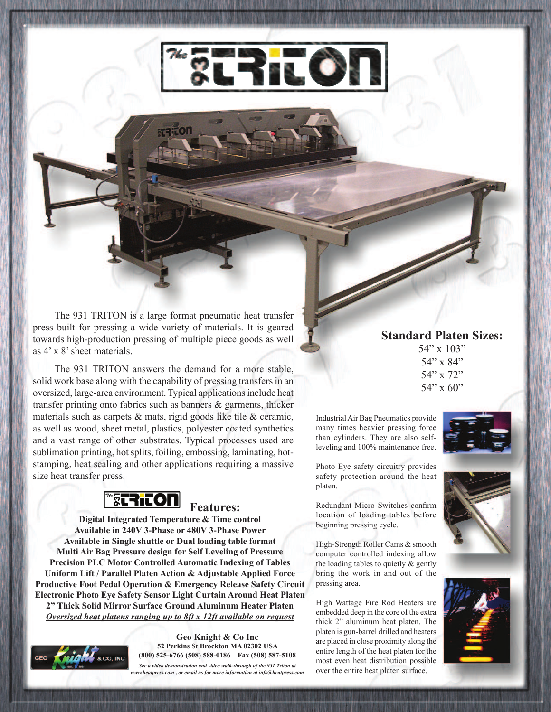

The 931 TRITON is a large format pneumatic heat transfer press built for pressing a wide variety of materials. It is geared towards high-production pressing of multiple piece goods as well as 4' x 8' sheet materials.

The 931 TRITON answers the demand for a more stable, solid work base along with the capability of pressing transfers in an oversized, large-area environment. Typical applications include heat transfer printing onto fabrics such as banners & garments, thicker materials such as carpets & mats, rigid goods like tile & ceramic, as well as wood, sheet metal, plastics, polyester coated synthetics and a vast range of other substrates. Typical processes used are sublimation printing, hot splits, foiling, embossing, laminating, hotstamping, heat sealing and other applications requiring a massive size heat transfer press.



**Features:**

**Digital Integrated Temperature & Time control Available in 240V 3-Phase or 480V 3-Phase Power Available in Single shuttle or Dual loading table format Multi Air Bag Pressure design for Self Leveling of Pressure Precision PLC Motor Controlled Automatic Indexing of Tables Uniform Lift / Parallel Platen Action & Adjustable Applied Force Productive Foot Pedal Operation & Emergency Release Safety Circuit Electronic Photo Eye Safety Sensor Light Curtain Around Heat Platen 2" Thick Solid Mirror Surface Ground Aluminum Heater Platen** *Oversized heat platens ranging up to 8ft x 12ft available on request*



**Geo Knight & Co Inc 52 Perkins St Brockton MA 02302 USA (800) 525-6766 (508) 588-0186 Fax (508) 587-5108** *See a video demonstration and video walk-through of the 931 Triton at www.heatpress.com , or email us for more information at info@heatpress.com*

## **Standard Platen Sizes:**

54" x 103" 54" x 84" 54" x 72"  $54"$  x 60"

Industrial Air Bag Pneumatics provide many times heavier pressing force than cylinders. They are also selfleveling and 100% maintenance free.

Photo Eye safety circuitry provides safety protection around the heat

Redundant Micro Switches confirm location of loading tables before

beginning pressing cycle.

platen.



High-Strength Roller Cams & smooth computer controlled indexing allow the loading tables to quietly & gently bring the work in and out of the pressing area.

High Wattage Fire Rod Heaters are embedded deep in the core of the extra thick 2" aluminum heat platen. The platen is gun-barrel drilled and heaters are placed in close proximity along the entire length of the heat platen for the most even heat distribution possible over the entire heat platen surface.